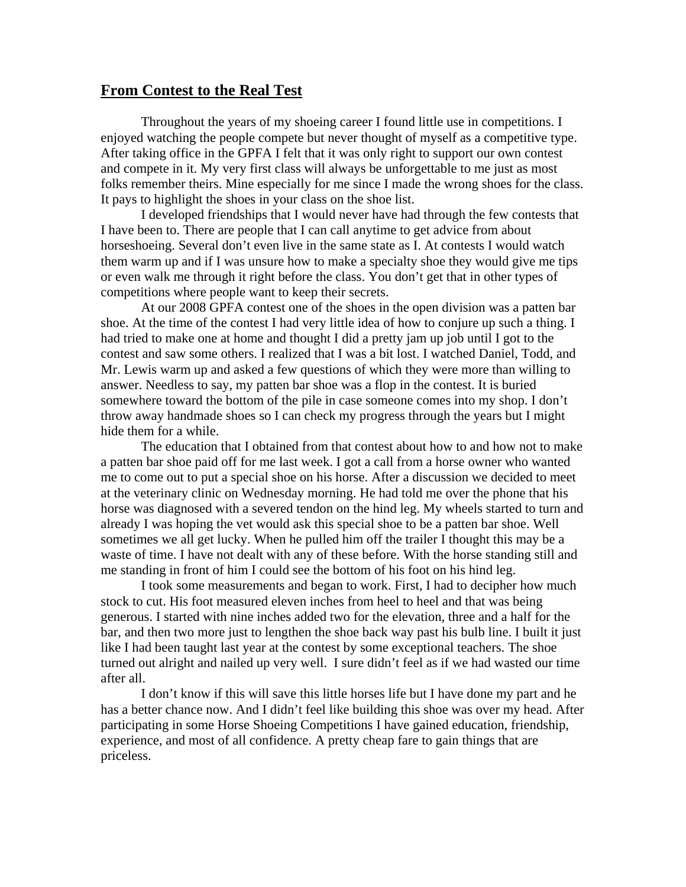## **From Contest to the Real Test**

 Throughout the years of my shoeing career I found little use in competitions. I enjoyed watching the people compete but never thought of myself as a competitive type. After taking office in the GPFA I felt that it was only right to support our own contest and compete in it. My very first class will always be unforgettable to me just as most folks remember theirs. Mine especially for me since I made the wrong shoes for the class. It pays to highlight the shoes in your class on the shoe list.

 I developed friendships that I would never have had through the few contests that I have been to. There are people that I can call anytime to get advice from about horseshoeing. Several don't even live in the same state as I. At contests I would watch them warm up and if I was unsure how to make a specialty shoe they would give me tips or even walk me through it right before the class. You don't get that in other types of competitions where people want to keep their secrets.

 At our 2008 GPFA contest one of the shoes in the open division was a patten bar shoe. At the time of the contest I had very little idea of how to conjure up such a thing. I had tried to make one at home and thought I did a pretty jam up job until I got to the contest and saw some others. I realized that I was a bit lost. I watched Daniel, Todd, and Mr. Lewis warm up and asked a few questions of which they were more than willing to answer. Needless to say, my patten bar shoe was a flop in the contest. It is buried somewhere toward the bottom of the pile in case someone comes into my shop. I don't throw away handmade shoes so I can check my progress through the years but I might hide them for a while.

 The education that I obtained from that contest about how to and how not to make a patten bar shoe paid off for me last week. I got a call from a horse owner who wanted me to come out to put a special shoe on his horse. After a discussion we decided to meet at the veterinary clinic on Wednesday morning. He had told me over the phone that his horse was diagnosed with a severed tendon on the hind leg. My wheels started to turn and already I was hoping the vet would ask this special shoe to be a patten bar shoe. Well sometimes we all get lucky. When he pulled him off the trailer I thought this may be a waste of time. I have not dealt with any of these before. With the horse standing still and me standing in front of him I could see the bottom of his foot on his hind leg.

 I took some measurements and began to work. First, I had to decipher how much stock to cut. His foot measured eleven inches from heel to heel and that was being generous. I started with nine inches added two for the elevation, three and a half for the bar, and then two more just to lengthen the shoe back way past his bulb line. I built it just like I had been taught last year at the contest by some exceptional teachers. The shoe turned out alright and nailed up very well. I sure didn't feel as if we had wasted our time after all.

 I don't know if this will save this little horses life but I have done my part and he has a better chance now. And I didn't feel like building this shoe was over my head. After participating in some Horse Shoeing Competitions I have gained education, friendship, experience, and most of all confidence. A pretty cheap fare to gain things that are priceless.